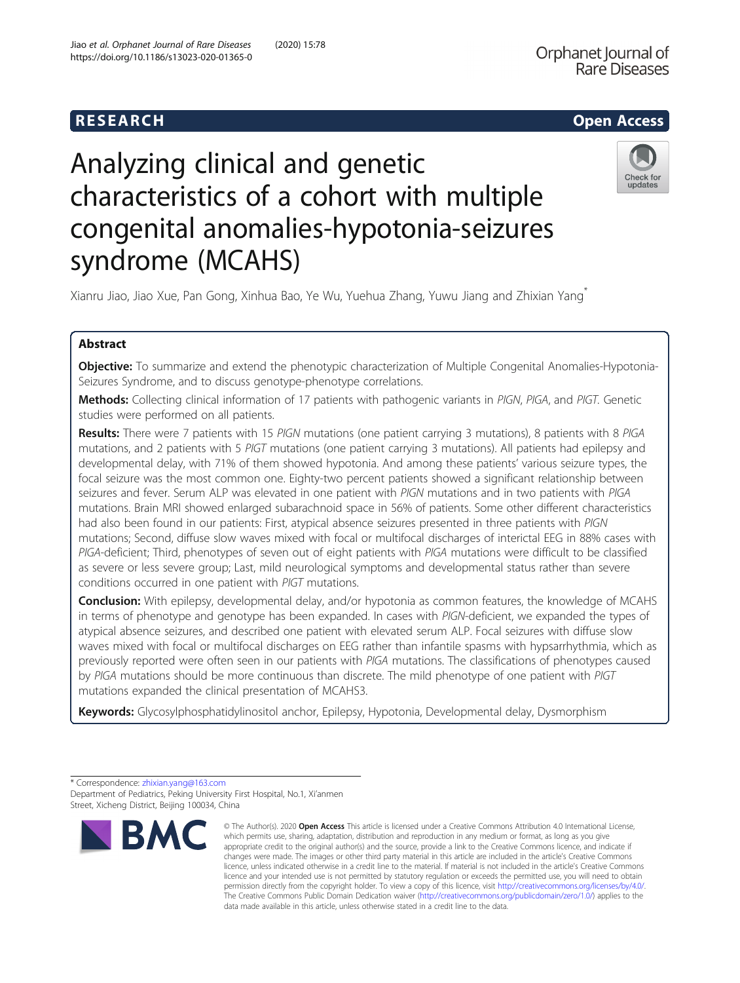## R E S EAR CH Open Access

# Analyzing clinical and genetic characteristics of a cohort with multiple congenital anomalies-hypotonia-seizures syndrome (MCAHS)



Xianru Jiao, Jiao Xue, Pan Gong, Xinhua Bao, Ye Wu, Yuehua Zhang, Yuwu Jiang and Zhixian Yang\*

### Abstract

Objective: To summarize and extend the phenotypic characterization of Multiple Congenital Anomalies-Hypotonia-Seizures Syndrome, and to discuss genotype-phenotype correlations.

Methods: Collecting clinical information of 17 patients with pathogenic variants in PIGN, PIGA, and PIGT. Genetic studies were performed on all patients.

Results: There were 7 patients with 15 PIGN mutations (one patient carrying 3 mutations), 8 patients with 8 PIGA mutations, and 2 patients with 5 PIGT mutations (one patient carrying 3 mutations). All patients had epilepsy and developmental delay, with 71% of them showed hypotonia. And among these patients' various seizure types, the focal seizure was the most common one. Eighty-two percent patients showed a significant relationship between seizures and fever. Serum ALP was elevated in one patient with PIGN mutations and in two patients with PIGA mutations. Brain MRI showed enlarged subarachnoid space in 56% of patients. Some other different characteristics had also been found in our patients: First, atypical absence seizures presented in three patients with PIGN mutations; Second, diffuse slow waves mixed with focal or multifocal discharges of interictal EEG in 88% cases with PIGA-deficient; Third, phenotypes of seven out of eight patients with PIGA mutations were difficult to be classified as severe or less severe group; Last, mild neurological symptoms and developmental status rather than severe conditions occurred in one patient with PIGT mutations.

**Conclusion:** With epilepsy, developmental delay, and/or hypotonia as common features, the knowledge of MCAHS in terms of phenotype and genotype has been expanded. In cases with PIGN-deficient, we expanded the types of atypical absence seizures, and described one patient with elevated serum ALP. Focal seizures with diffuse slow waves mixed with focal or multifocal discharges on EEG rather than infantile spasms with hypsarrhythmia, which as previously reported were often seen in our patients with PIGA mutations. The classifications of phenotypes caused by PIGA mutations should be more continuous than discrete. The mild phenotype of one patient with PIGT mutations expanded the clinical presentation of MCAHS3.

Keywords: Glycosylphosphatidylinositol anchor, Epilepsy, Hypotonia, Developmental delay, Dysmorphism

<sup>\*</sup> Correspondence: [zhixian.yang@163.com](mailto:zhixian.yang@163.com) Department of Pediatrics, Peking University First Hospital, No.1, Xi'anmen Street, Xicheng District, Beijing 100034, China



<sup>©</sup> The Author(s), 2020 **Open Access** This article is licensed under a Creative Commons Attribution 4.0 International License, which permits use, sharing, adaptation, distribution and reproduction in any medium or format, as long as you give appropriate credit to the original author(s) and the source, provide a link to the Creative Commons licence, and indicate if changes were made. The images or other third party material in this article are included in the article's Creative Commons licence, unless indicated otherwise in a credit line to the material. If material is not included in the article's Creative Commons licence and your intended use is not permitted by statutory regulation or exceeds the permitted use, you will need to obtain permission directly from the copyright holder. To view a copy of this licence, visit [http://creativecommons.org/licenses/by/4.0/.](http://creativecommons.org/licenses/by/4.0/) The Creative Commons Public Domain Dedication waiver [\(http://creativecommons.org/publicdomain/zero/1.0/](http://creativecommons.org/publicdomain/zero/1.0/)) applies to the data made available in this article, unless otherwise stated in a credit line to the data.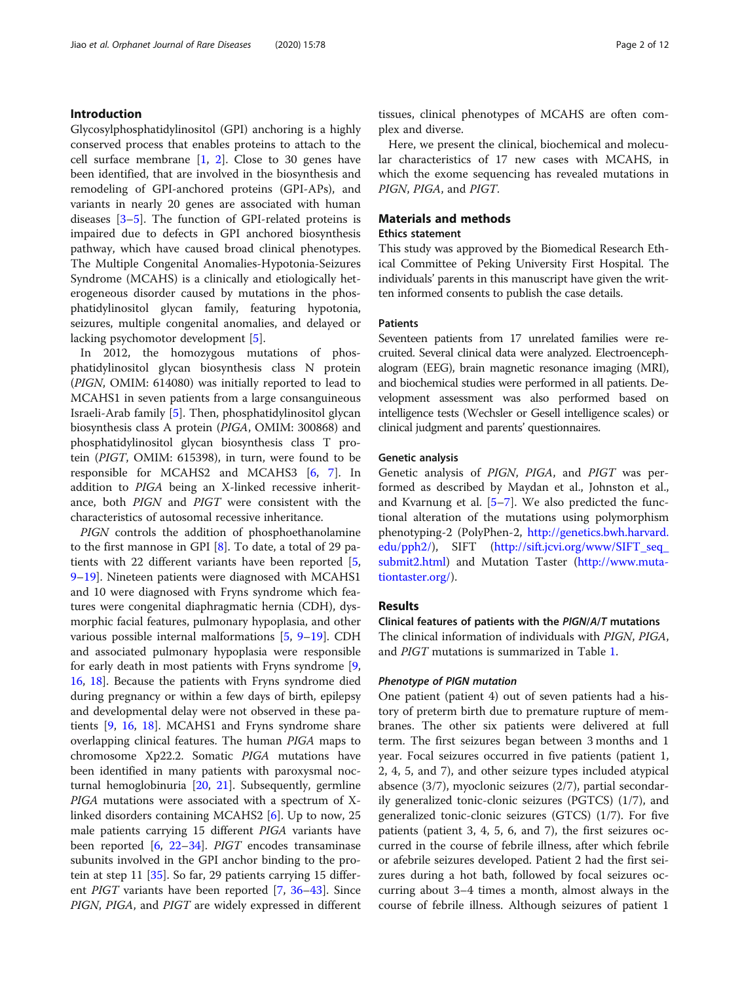#### Introduction

Glycosylphosphatidylinositol (GPI) anchoring is a highly conserved process that enables proteins to attach to the cell surface membrane  $\begin{bmatrix} 1, 2 \end{bmatrix}$  $\begin{bmatrix} 1, 2 \end{bmatrix}$  $\begin{bmatrix} 1, 2 \end{bmatrix}$ . Close to 30 genes have been identified, that are involved in the biosynthesis and remodeling of GPI-anchored proteins (GPI-APs), and variants in nearly 20 genes are associated with human diseases [[3](#page-10-0)–[5](#page-10-0)]. The function of GPI-related proteins is impaired due to defects in GPI anchored biosynthesis pathway, which have caused broad clinical phenotypes. The Multiple Congenital Anomalies-Hypotonia-Seizures Syndrome (MCAHS) is a clinically and etiologically heterogeneous disorder caused by mutations in the phosphatidylinositol glycan family, featuring hypotonia, seizures, multiple congenital anomalies, and delayed or lacking psychomotor development [[5\]](#page-10-0).

In 2012, the homozygous mutations of phosphatidylinositol glycan biosynthesis class N protein (PIGN, OMIM: 614080) was initially reported to lead to MCAHS1 in seven patients from a large consanguineous Israeli-Arab family [\[5](#page-10-0)]. Then, phosphatidylinositol glycan biosynthesis class A protein (PIGA, OMIM: 300868) and phosphatidylinositol glycan biosynthesis class T protein (PIGT, OMIM: 615398), in turn, were found to be responsible for MCAHS2 and MCAHS3 [[6,](#page-10-0) [7](#page-10-0)]. In addition to PIGA being an X-linked recessive inheritance, both PIGN and PIGT were consistent with the characteristics of autosomal recessive inheritance.

PIGN controls the addition of phosphoethanolamine to the first mannose in GPI [\[8](#page-10-0)]. To date, a total of 29 patients with 22 different variants have been reported [\[5](#page-10-0), [9](#page-10-0)–[19](#page-11-0)]. Nineteen patients were diagnosed with MCAHS1 and 10 were diagnosed with Fryns syndrome which features were congenital diaphragmatic hernia (CDH), dysmorphic facial features, pulmonary hypoplasia, and other various possible internal malformations [\[5](#page-10-0), [9](#page-10-0)–[19\]](#page-11-0). CDH and associated pulmonary hypoplasia were responsible for early death in most patients with Fryns syndrome [\[9](#page-10-0), [16,](#page-11-0) [18](#page-11-0)]. Because the patients with Fryns syndrome died during pregnancy or within a few days of birth, epilepsy and developmental delay were not observed in these patients [[9,](#page-10-0) [16,](#page-11-0) [18](#page-11-0)]. MCAHS1 and Fryns syndrome share overlapping clinical features. The human PIGA maps to chromosome Xp22.2. Somatic PIGA mutations have been identified in many patients with paroxysmal nocturnal hemoglobinuria [[20,](#page-11-0) [21](#page-11-0)]. Subsequently, germline PIGA mutations were associated with a spectrum of Xlinked disorders containing MCAHS2 [[6\]](#page-10-0). Up to now, 25 male patients carrying 15 different PIGA variants have been reported [\[6](#page-10-0), [22](#page-11-0)–[34\]](#page-11-0). PIGT encodes transaminase subunits involved in the GPI anchor binding to the protein at step 11 [\[35](#page-11-0)]. So far, 29 patients carrying 15 different PIGT variants have been reported [\[7,](#page-10-0) [36](#page-11-0)–[43\]](#page-11-0). Since PIGN, PIGA, and PIGT are widely expressed in different

tissues, clinical phenotypes of MCAHS are often complex and diverse.

Here, we present the clinical, biochemical and molecular characteristics of 17 new cases with MCAHS, in which the exome sequencing has revealed mutations in PIGN, PIGA, and PIGT.

#### Materials and methods

#### Ethics statement

This study was approved by the Biomedical Research Ethical Committee of Peking University First Hospital. The individuals' parents in this manuscript have given the written informed consents to publish the case details.

#### Patients

Seventeen patients from 17 unrelated families were recruited. Several clinical data were analyzed. Electroencephalogram (EEG), brain magnetic resonance imaging (MRI), and biochemical studies were performed in all patients. Development assessment was also performed based on intelligence tests (Wechsler or Gesell intelligence scales) or clinical judgment and parents' questionnaires.

#### Genetic analysis

Genetic analysis of PIGN, PIGA, and PIGT was performed as described by Maydan et al., Johnston et al., and Kvarnung et al. [\[5](#page-10-0)–[7\]](#page-10-0). We also predicted the functional alteration of the mutations using polymorphism phenotyping-2 (PolyPhen-2, [http://genetics.bwh.harvard.](http://genetics.bwh.harvard.edu/pph2/) [edu/pph2/](http://genetics.bwh.harvard.edu/pph2/)), SIFT ([http://sift.jcvi.org/www/SIFT\\_seq\\_](http://sift.jcvi.org/www/SIFT_seq_submit2.html) [submit2.html](http://sift.jcvi.org/www/SIFT_seq_submit2.html)) and Mutation Taster [\(http://www.muta](http://www.mutationtaster.org/)[tiontaster.org/\)](http://www.mutationtaster.org/).

#### Results

#### Clinical features of patients with the PIGN/A/T mutations

The clinical information of individuals with PIGN, PIGA, and PIGT mutations is summarized in Table [1.](#page-2-0)

#### Phenotype of PIGN mutation

One patient (patient 4) out of seven patients had a history of preterm birth due to premature rupture of membranes. The other six patients were delivered at full term. The first seizures began between 3 months and 1 year. Focal seizures occurred in five patients (patient 1, 2, 4, 5, and 7), and other seizure types included atypical absence (3/7), myoclonic seizures (2/7), partial secondarily generalized tonic-clonic seizures (PGTCS) (1/7), and generalized tonic-clonic seizures (GTCS) (1/7). For five patients (patient 3, 4, 5, 6, and 7), the first seizures occurred in the course of febrile illness, after which febrile or afebrile seizures developed. Patient 2 had the first seizures during a hot bath, followed by focal seizures occurring about 3–4 times a month, almost always in the course of febrile illness. Although seizures of patient 1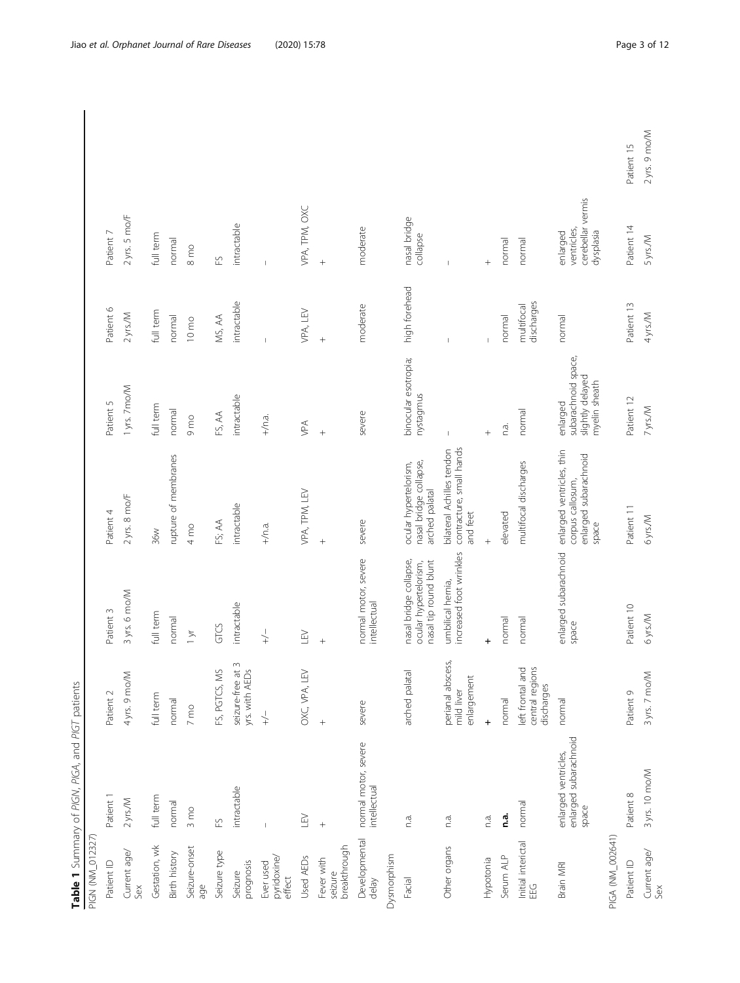<span id="page-2-0"></span>

| PIGN (NM_012327                       | Table 1 Summary of PIGN, PIGA, and PIGT patients       |                                                      |                                                                          |                                                                                 |                                                                      |                          |                                                           |               |
|---------------------------------------|--------------------------------------------------------|------------------------------------------------------|--------------------------------------------------------------------------|---------------------------------------------------------------------------------|----------------------------------------------------------------------|--------------------------|-----------------------------------------------------------|---------------|
| Patient ID                            | Patient                                                | Patient 2                                            | Patient 3                                                                | Patient 4                                                                       | Patient 5                                                            | Patient 6                | Patient 7                                                 |               |
| Current age/<br>Sex                   | $2$ yrs./M                                             | 4 yrs. 9 mo/M                                        | 3 yrs. 6 mo/M                                                            | $2$ yrs. 8 mo/F                                                                 | 1 yrs. 7 mo/M                                                        | $2$ yrs./M               | 2 yrs. 5 mo/F                                             |               |
| Gestation, wk                         | full term                                              | full term                                            | full term                                                                | 36W                                                                             | full term                                                            | full term                | full term                                                 |               |
| Birth history                         | normal                                                 | normal                                               | normal                                                                   | rupture of membranes                                                            | normal                                                               | normal                   | normal                                                    |               |
| Seizure-onset<br>age                  | $3 \text{ mo}$                                         | $7 \text{ mo}$                                       | $1 \times$                                                               | $4 \text{ mo}$                                                                  | 9 mo                                                                 | $10 \text{ mo}$          | $8 \text{ mo}$                                            |               |
| Seizure type                          | $\widetilde{\mathbb{E}}$                               | Š<br>FS, PGTCS,                                      | GTCS                                                                     | FS; AA                                                                          | FS, AA                                                               | MS, AA                   | $\overline{\mathbb{E}}$                                   |               |
| prognosis<br>Seizure                  | intractable                                            | seizure-free at 3<br>yrs. with AEDs                  | intractable                                                              | intractable                                                                     | intractable                                                          | intractable              | intractable                                               |               |
| pyridoxine/<br>Ever used<br>effect    |                                                        | $\downarrow$                                         | $\downarrow$                                                             | $+/n.a.$                                                                        | $+/n.a.$                                                             |                          |                                                           |               |
| Used AEDs                             | LEV                                                    | LEV<br>OXC, VPA,                                     | LEV                                                                      | VPA, TPM, LEV                                                                   | ypa                                                                  | VPA, LEV                 | VPA, TPM, OXC                                             |               |
| breakthrough<br>Fever with<br>seizure | $\ddot{}$                                              | $^{+}$                                               | $^{+}$                                                                   | $^{+}$                                                                          | $\ddot{}$                                                            | $\ddot{}$                | $^{+}$                                                    |               |
| Developmental<br>delay                | normal motor, severe<br>intellectual                   | severe                                               | normal motor, severe<br>intellectual                                     | severe                                                                          | severe                                                               | moderate                 | moderate                                                  |               |
| Dysmorphism                           |                                                        |                                                      |                                                                          |                                                                                 |                                                                      |                          |                                                           |               |
| Facial                                | n.a.                                                   | arched palatal                                       | nasal bridge collapse,<br>nasal tip round blunt<br>ocular hypertelorism, | nasal bridge collapse,<br>ocular hypertelorism,<br>arched palatal               | binocular esotropia;<br>nystagmus                                    | high forehead            | nasal bridge<br>collapse                                  |               |
| Other organs                          | n.a.                                                   | perianal abscess,<br>enlargement<br>mild liver       | increased foot wrinkles<br>umbilical hernia,                             | contracture, small hands<br>bilateral Achilles tendon<br>and feet               |                                                                      |                          |                                                           |               |
| Hypotonia                             | n.a.                                                   | $\ddot{}$                                            | $\ddot{}$                                                                | $^{+}$                                                                          | $+$                                                                  | $\overline{1}$           | $^{+}$                                                    |               |
| Serum ALP                             | n.a.                                                   | normal                                               | normal                                                                   | elevated                                                                        | n.a.                                                                 | normal                   | normal                                                    |               |
| Initial interictal<br>EEG             | normal                                                 | central regions<br>and<br>left frontal<br>discharges | normal                                                                   | multifocal discharges                                                           | normal                                                               | discharges<br>multifocal | normal                                                    |               |
| Brain MRI                             | enlarged subarachnoid<br>enlarged ventricles,<br>space | normal                                               | enlarged subarachnoid<br>space                                           | enlarged ventricles, thin<br>enlarged subarachnoid<br>corpus callosum,<br>space | subarachnoid space,<br>slightly delayed<br>myelin sheath<br>enlarged | normal                   | cerebellar vermis<br>ventricles,<br>dysplasia<br>enlarged |               |
| PIGA (NM_002641)                      |                                                        |                                                      |                                                                          |                                                                                 |                                                                      |                          |                                                           |               |
| Patient ID                            | Patient 8                                              | Patient 9                                            | Patient 10                                                               | Patient 11                                                                      | Patient 12                                                           | Patient 13               | Patient 14                                                | Patient 15    |
| Current age/<br>Sex                   | 3 yrs. 10 mo/M                                         | 3 yrs. 7 mo/M                                        | 6yrs/M                                                                   | 6yrs/M                                                                          | 7 yrs./M                                                             | 4 yrs./M                 | 5 yrs./M                                                  | 2 yrs. 9 mo/M |

 $\overline{\phantom{a}}$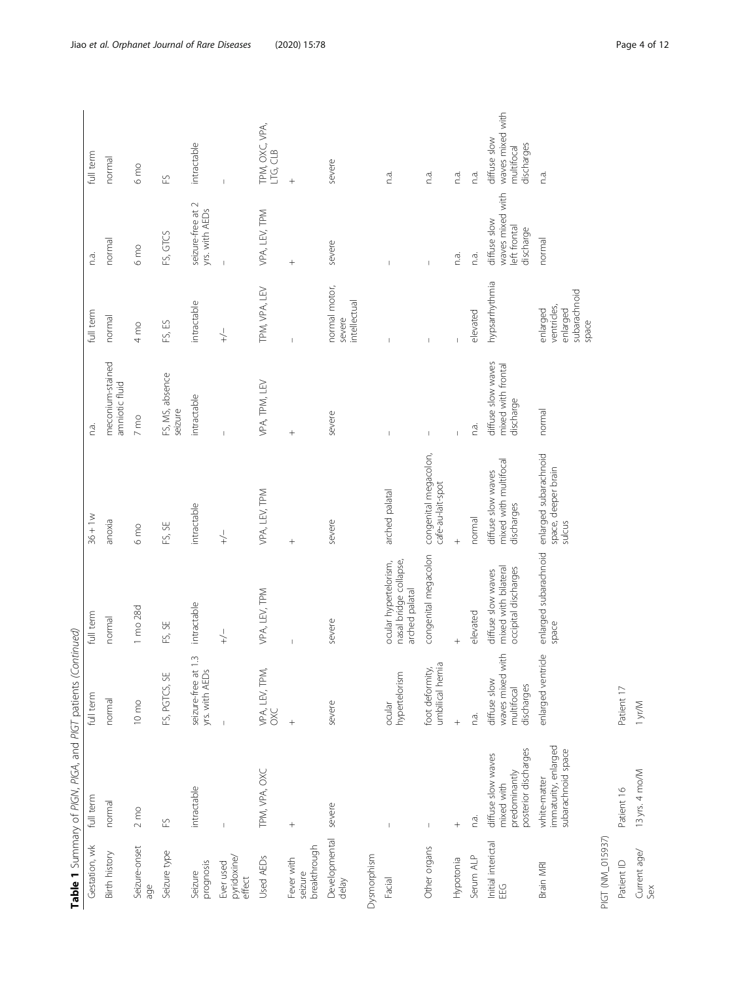|                                       | Table 1 Summary of PIGN, PIGA, and PIGT patients (Continued)              |                                                              |                                                                    |                                                           |                                                       |                                                              |                                                               |                                                              |
|---------------------------------------|---------------------------------------------------------------------------|--------------------------------------------------------------|--------------------------------------------------------------------|-----------------------------------------------------------|-------------------------------------------------------|--------------------------------------------------------------|---------------------------------------------------------------|--------------------------------------------------------------|
| Gestation, wk                         | full term                                                                 | full term                                                    | full term                                                          | $36 + 1w$                                                 | n.a.                                                  | full term                                                    | n.a.                                                          | full term                                                    |
| <b>Birth history</b>                  | normal                                                                    | normal                                                       | normal                                                             | anoxia                                                    | meconium-stained<br>amniotic fluid                    | normal                                                       | normal                                                        | normal                                                       |
| Seizure-onset<br>age                  | $2 \text{ mo}$                                                            | $10 \text{ mo}$                                              | 1 mo 28d                                                           | 6 <sub>mo</sub>                                           | $7 \text{ mo}$                                        | 4 mo                                                         | 6 <sub>mo</sub>                                               | 6 <sub>mo</sub>                                              |
| Seizure type                          | $\overline{\mathbb{E}}$                                                   | FS, PGTCS, SE                                                | FS, SE                                                             | FS, SE                                                    | FS, MS, absence<br>seizure                            | FS, ES                                                       | FS, GTCS                                                      | $\overline{\mathbb{E}}$                                      |
| prognosis<br>Seizure                  | intractable                                                               | $\frac{3}{2}$<br>yrs. with AEDs<br>seizure-free at           | intractable                                                        | intractable                                               | intractable                                           | intractable                                                  | seizure-free at 2<br>yrs. with AEDs                           | intractable                                                  |
| pyridoxine/<br>Ever used<br>effect    | $\overline{\phantom{a}}$                                                  |                                                              | $\downarrow$                                                       | $\downarrow$                                              |                                                       | $\downarrow$                                                 |                                                               |                                                              |
| Used AEDs                             | TPM, VPA, OXC                                                             | VPA, LEV, TPM,<br><b>SXC</b>                                 | VPA, LEV, TPM                                                      | VPA, LEV, TPM                                             | VPA, TPM, LEV                                         | TPM, VPA, LEV                                                | VPA, LEV, TPM                                                 | TPM, OXC, VPA,<br>LTG, CLB                                   |
| breakthrough<br>Fever with<br>seizure |                                                                           | $^{+}$                                                       |                                                                    | $^{+}$                                                    |                                                       |                                                              |                                                               | $^{+}$                                                       |
| Developmental<br>delay                | severe                                                                    | severe                                                       | severe                                                             | severe                                                    | severe                                                | normal motor,<br>intellectual<br>severe                      | severe                                                        | severe                                                       |
| Dysmorphism                           |                                                                           |                                                              |                                                                    |                                                           |                                                       |                                                              |                                                               |                                                              |
| Facial                                |                                                                           | hypertelorism<br>ocular                                      | ocular hypertelorism,<br>nasal bridge collapse,<br>arched palatal  | arched palatal                                            |                                                       |                                                              |                                                               | n.a.                                                         |
| Other organs                          | $\overline{\phantom{a}}$                                                  | G<br>foot deformity,<br>umbilical herni                      | congenital megacolon                                               | congenital megacolon,<br>cafe-au-lait-spot                |                                                       | f.                                                           | $\overline{1}$                                                | n.a.                                                         |
| Hypotonia                             | $^{+}$                                                                    | $^{+}$                                                       | $^{+}$                                                             | $^{+}$                                                    |                                                       |                                                              | n.a.                                                          | n.a.                                                         |
| Serum ALP                             | n.a.                                                                      | n.a.                                                         | elevated                                                           | normal                                                    | n.a.                                                  | elevated                                                     | n.a.                                                          | n.a.                                                         |
| Initial interictal<br>93              | posterior discharges<br>diffuse slow waves<br>predominantly<br>mixed with | waves mixed with<br>diffuse slow<br>discharges<br>multifocal | occipital discharges<br>mixed with bilateral<br>diffuse slow waves | mixed with multifocal<br>diffuse slow waves<br>discharges | diffuse slow waves<br>mixed with frontal<br>discharge | hypsarrhythmia                                               | waves mixed with<br>diffuse slow<br>left frontal<br>discharge | waves mixed with<br>diffuse slow<br>discharges<br>multifocal |
| Brain MRI                             | immaturity, enlarged<br>subarachnoid space<br>white-matter                | enlarged ventricle                                           | enlarged subarachnoid<br>space                                     | enlarged subarachnoid<br>space, deeper brain<br>sulcus    | normal                                                | subarachnoid<br>ventricles,<br>enlarged<br>enlarged<br>space | normal                                                        | n.a.                                                         |
| PIGT (NM_015937)                      |                                                                           |                                                              |                                                                    |                                                           |                                                       |                                                              |                                                               |                                                              |
| Patient ID                            | Patient 16                                                                | Patient 17                                                   |                                                                    |                                                           |                                                       |                                                              |                                                               |                                                              |
| Current age/<br>Sex                   | 13 yrs. 4 mo/M                                                            | 1 yr/M                                                       |                                                                    |                                                           |                                                       |                                                              |                                                               |                                                              |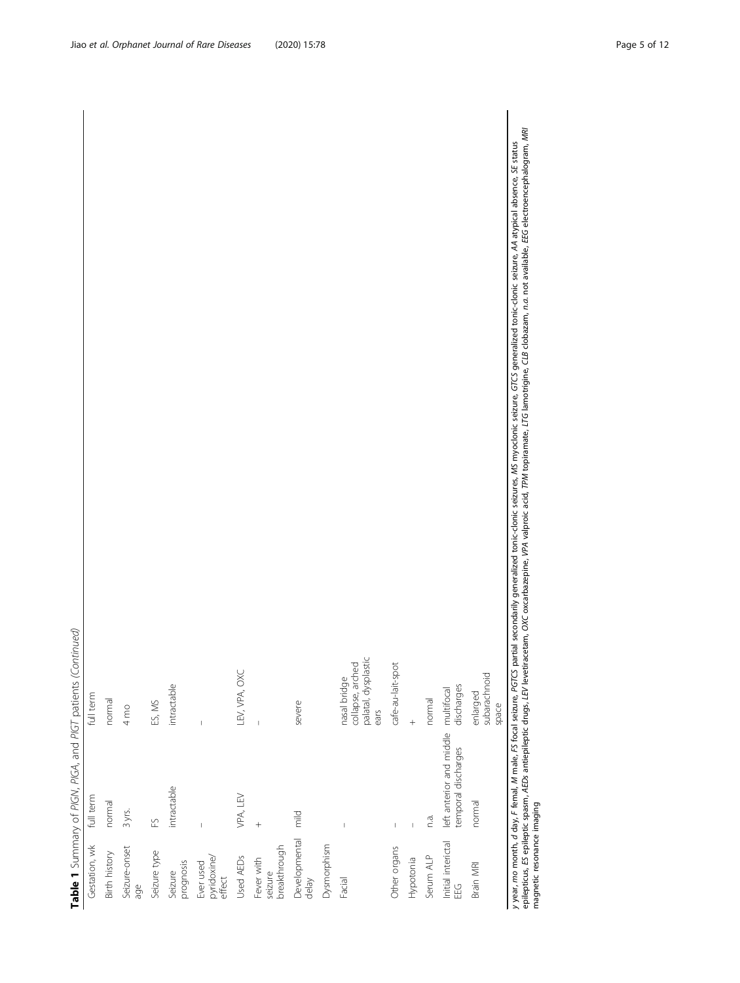|                                                              | full term     | normal               | $4 \text{ mo}$       | ES, MS       | intractable          | Ï                                  | LEV, VPA, OXC | $\overline{1}$                        | severe                 |             | palatal, dysplastic<br>collapse, arched<br>nasal bridge<br>ears | cafe-au-lait-spot | $\overline{+}$           | normal    |                                                                       | subarachnoid<br>enlarged<br>space |
|--------------------------------------------------------------|---------------|----------------------|----------------------|--------------|----------------------|------------------------------------|---------------|---------------------------------------|------------------------|-------------|-----------------------------------------------------------------|-------------------|--------------------------|-----------|-----------------------------------------------------------------------|-----------------------------------|
| Table 1 Summary of PIGN, PIGA, and PIGT patients (Continued) | full term     | normal               | 3 yrs.               | FS           | intractable          | $\mathfrak l$                      | VPA, LEV      | $^{+}$                                | mild                   |             | $\begin{array}{c} \end{array}$                                  | $\mathsf I$       | $\mathord{\text{\rm I}}$ | n.a.      | left anterior and middle multifocal<br>temporal discharges discharges | normal                            |
|                                                              | Gestation, wk | <b>Birth history</b> | Seizure-onset<br>age | Seizure type | prognosis<br>Seizure | Ever used<br>pyridoxine/<br>effect | Used AEDs     | seizure<br>breakthrough<br>Fever with | Developmental<br>delay | Dysmorphism | Facial                                                          | Other organs      | Hypotonia                | Serum ALP | Initial interictal<br>EEG                                             | Brain MRI                         |

y year, mo month, d day, F femal, M male, FS focal seizure, PGTCS partial secondarily generalized tonic-clonic seizures, MS myoclonic seizure, GTCS generalized tonic-clonic seizure, AA atypical absence, SE status epilepticus, ES epileptic spasm, AEDs antieplieptic drugs, LEV levetiracetam, OXC oxcarbazepine, VPA valproic acid, TPM topiramate, LTG lamotrigine, CLB clobazam, n.a. not available, EEG electroencephalogram, MRI magnetic resonance imaging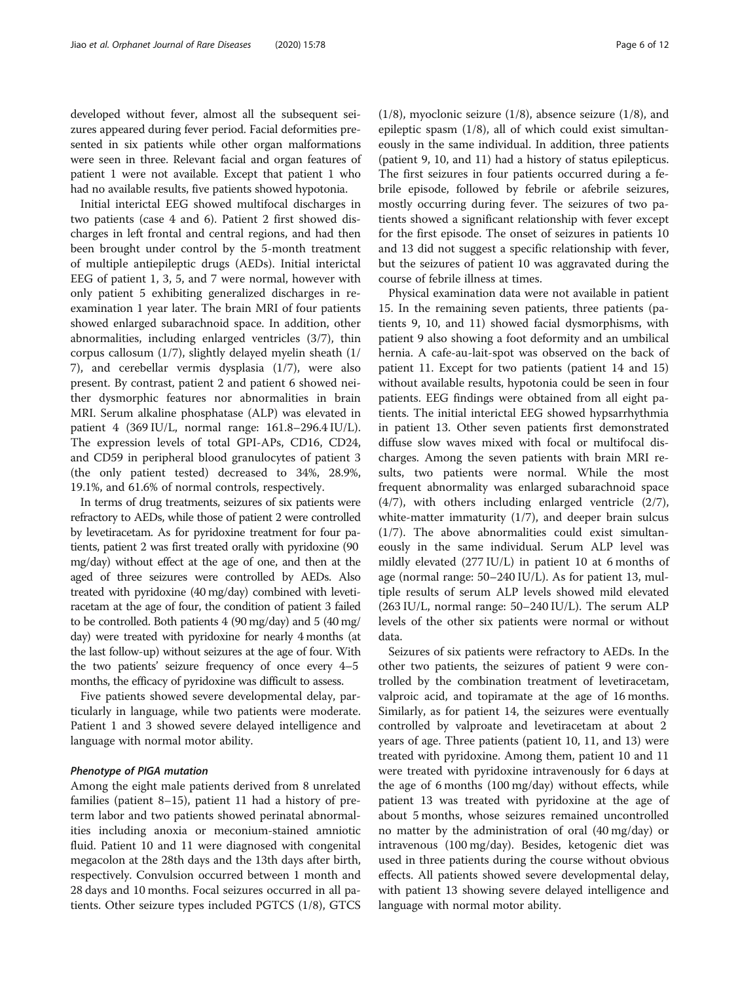developed without fever, almost all the subsequent seizures appeared during fever period. Facial deformities presented in six patients while other organ malformations were seen in three. Relevant facial and organ features of patient 1 were not available. Except that patient 1 who had no available results, five patients showed hypotonia.

Initial interictal EEG showed multifocal discharges in two patients (case 4 and 6). Patient 2 first showed discharges in left frontal and central regions, and had then been brought under control by the 5-month treatment of multiple antiepileptic drugs (AEDs). Initial interictal EEG of patient 1, 3, 5, and 7 were normal, however with only patient 5 exhibiting generalized discharges in reexamination 1 year later. The brain MRI of four patients showed enlarged subarachnoid space. In addition, other abnormalities, including enlarged ventricles (3/7), thin corpus callosum (1/7), slightly delayed myelin sheath (1/ 7), and cerebellar vermis dysplasia (1/7), were also present. By contrast, patient 2 and patient 6 showed neither dysmorphic features nor abnormalities in brain MRI. Serum alkaline phosphatase (ALP) was elevated in patient 4 (369 IU/L, normal range: 161.8–296.4 IU/L). The expression levels of total GPI-APs, CD16, CD24, and CD59 in peripheral blood granulocytes of patient 3 (the only patient tested) decreased to 34%, 28.9%, 19.1%, and 61.6% of normal controls, respectively.

In terms of drug treatments, seizures of six patients were refractory to AEDs, while those of patient 2 were controlled by levetiracetam. As for pyridoxine treatment for four patients, patient 2 was first treated orally with pyridoxine (90 mg/day) without effect at the age of one, and then at the aged of three seizures were controlled by AEDs. Also treated with pyridoxine (40 mg/day) combined with levetiracetam at the age of four, the condition of patient 3 failed to be controlled. Both patients 4 (90 mg/day) and 5 (40 mg/ day) were treated with pyridoxine for nearly 4 months (at the last follow-up) without seizures at the age of four. With the two patients' seizure frequency of once every 4–5 months, the efficacy of pyridoxine was difficult to assess.

Five patients showed severe developmental delay, particularly in language, while two patients were moderate. Patient 1 and 3 showed severe delayed intelligence and language with normal motor ability.

#### Phenotype of PIGA mutation

Among the eight male patients derived from 8 unrelated families (patient 8–15), patient 11 had a history of preterm labor and two patients showed perinatal abnormalities including anoxia or meconium-stained amniotic fluid. Patient 10 and 11 were diagnosed with congenital megacolon at the 28th days and the 13th days after birth, respectively. Convulsion occurred between 1 month and 28 days and 10 months. Focal seizures occurred in all patients. Other seizure types included PGTCS (1/8), GTCS

(1/8), myoclonic seizure (1/8), absence seizure (1/8), and epileptic spasm (1/8), all of which could exist simultaneously in the same individual. In addition, three patients (patient 9, 10, and 11) had a history of status epilepticus. The first seizures in four patients occurred during a febrile episode, followed by febrile or afebrile seizures, mostly occurring during fever. The seizures of two patients showed a significant relationship with fever except for the first episode. The onset of seizures in patients 10 and 13 did not suggest a specific relationship with fever, but the seizures of patient 10 was aggravated during the course of febrile illness at times.

Physical examination data were not available in patient 15. In the remaining seven patients, three patients (patients 9, 10, and 11) showed facial dysmorphisms, with patient 9 also showing a foot deformity and an umbilical hernia. A cafe-au-lait-spot was observed on the back of patient 11. Except for two patients (patient 14 and 15) without available results, hypotonia could be seen in four patients. EEG findings were obtained from all eight patients. The initial interictal EEG showed hypsarrhythmia in patient 13. Other seven patients first demonstrated diffuse slow waves mixed with focal or multifocal discharges. Among the seven patients with brain MRI results, two patients were normal. While the most frequent abnormality was enlarged subarachnoid space (4/7), with others including enlarged ventricle (2/7), white-matter immaturity (1/7), and deeper brain sulcus (1/7). The above abnormalities could exist simultaneously in the same individual. Serum ALP level was mildly elevated (277 IU/L) in patient 10 at 6 months of age (normal range: 50–240 IU/L). As for patient 13, multiple results of serum ALP levels showed mild elevated (263 IU/L, normal range: 50–240 IU/L). The serum ALP levels of the other six patients were normal or without data.

Seizures of six patients were refractory to AEDs. In the other two patients, the seizures of patient 9 were controlled by the combination treatment of levetiracetam, valproic acid, and topiramate at the age of 16 months. Similarly, as for patient 14, the seizures were eventually controlled by valproate and levetiracetam at about 2 years of age. Three patients (patient 10, 11, and 13) were treated with pyridoxine. Among them, patient 10 and 11 were treated with pyridoxine intravenously for 6 days at the age of 6 months (100 mg/day) without effects, while patient 13 was treated with pyridoxine at the age of about 5 months, whose seizures remained uncontrolled no matter by the administration of oral (40 mg/day) or intravenous (100 mg/day). Besides, ketogenic diet was used in three patients during the course without obvious effects. All patients showed severe developmental delay, with patient 13 showing severe delayed intelligence and language with normal motor ability.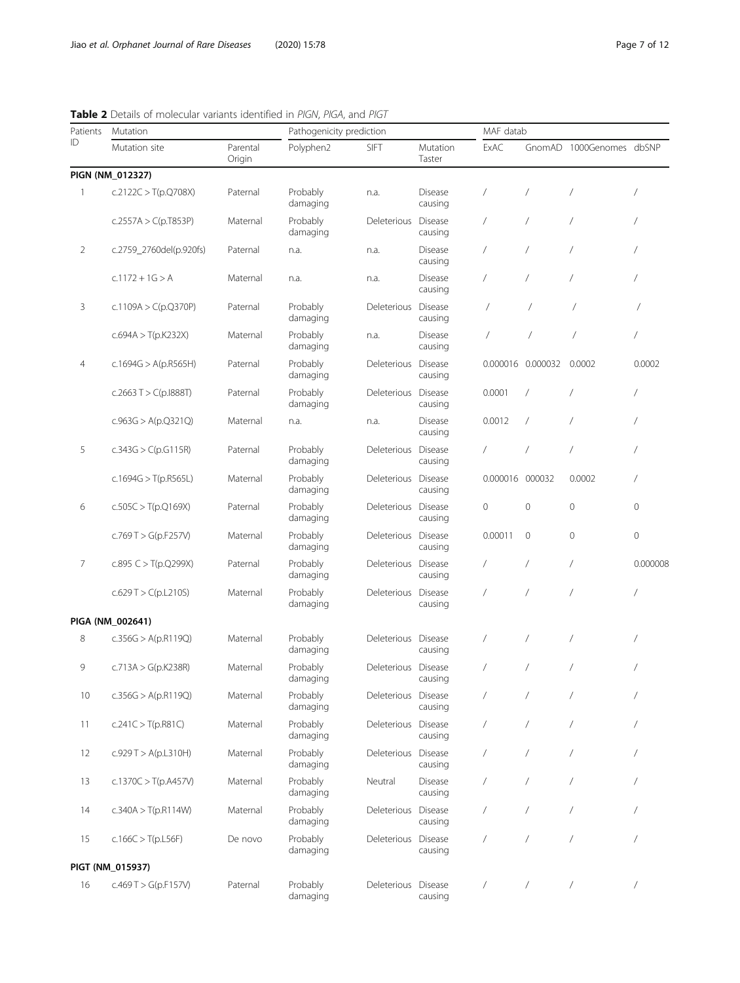<span id="page-6-0"></span>Table 2 Details of molecular variants identified in PIGN, PIGA, and PIGT

| Patients       | Mutation                |                    |                      | Pathogenicity prediction |                           |                 |                   | MAF datab                |                |  |  |  |
|----------------|-------------------------|--------------------|----------------------|--------------------------|---------------------------|-----------------|-------------------|--------------------------|----------------|--|--|--|
| ID             | Mutation site           | Parental<br>Origin | Polyphen2            | <b>SIFT</b>              | Mutation<br>Taster        | ExAC            |                   | GnomAD 1000Genomes dbSNP |                |  |  |  |
|                | PIGN (NM_012327)        |                    |                      |                          |                           |                 |                   |                          |                |  |  |  |
| 1              | c.2122C > $T(p.Q708X)$  | Paternal           | Probably<br>damaging | n.a.                     | Disease<br>causing        |                 | $\sqrt{2}$        | $\overline{1}$           | $\overline{1}$ |  |  |  |
|                | c.2557A > $C(p.T853P)$  | Maternal           | Probably<br>damaging | Deleterious              | Disease<br>causing        | $\sqrt{2}$      | $\sqrt{2}$        | $\prime$                 | 7              |  |  |  |
| $\overline{2}$ | c.2759_2760del(p.920fs) | Paternal           | n.a.                 | n.a.                     | <b>Disease</b><br>causing |                 | $\sqrt{2}$        | 7                        | 1              |  |  |  |
|                | $c.1172 + 1G > A$       | Maternal           | n.a.                 | n.a.                     | <b>Disease</b><br>causing | 7               | $\sqrt{2}$        | 7                        | 7              |  |  |  |
| 3              | c.1109A > $C(p.Q370P)$  | Paternal           | Probably<br>damaging | Deleterious              | Disease<br>causing        | $\overline{ }$  | 7                 | 7                        |                |  |  |  |
|                | c.694A > T(p.K232X)     | Maternal           | Probably<br>damaging | n.a.                     | Disease<br>causing        | $\sqrt{2}$      | $\overline{1}$    | $\overline{1}$           | $\overline{1}$ |  |  |  |
| 4              | c.1694G > A(p.R565H)    | Paternal           | Probably<br>damaging | Deleterious              | Disease<br>causing        |                 | 0.000016 0.000032 | 0.0002                   | 0.0002         |  |  |  |
|                | c.2663 T > C(p.1888T)   | Paternal           | Probably<br>damaging | Deleterious              | Disease<br>causing        | 0.0001          | $\sqrt{2}$        | $\sqrt{2}$               | $\overline{1}$ |  |  |  |
|                | c.963G > A(p.Q321Q)     | Maternal           | n.a.                 | n.a.                     | <b>Disease</b><br>causing | 0.0012          | $\sqrt{2}$        | $\prime$                 | $\overline{1}$ |  |  |  |
| 5              | c.343G > C(p.G115R)     | Paternal           | Probably<br>damaging | Deleterious              | <b>Disease</b><br>causing | $\sqrt{2}$      | $\sqrt{2}$        | $\overline{1}$           | 7              |  |  |  |
|                | c.1694G > $T(p.R565L)$  | Maternal           | Probably<br>damaging | Deleterious              | Disease<br>causing        | 0.000016 000032 |                   | 0.0002                   | 7              |  |  |  |
| 6              | c.505C > T(p.Q169X)     | Paternal           | Probably<br>damaging | Deleterious              | Disease<br>causing        | $\mathbf 0$     | $\mathbf 0$       | $\mathbf{0}$             | $\mathbf{0}$   |  |  |  |
|                | c.769 T > G(p.F257V)    | Maternal           | Probably<br>damaging | Deleterious              | Disease<br>causing        | 0.00011         | $\mathbf{0}$      | $\mathbf{0}$             | $\mathbf 0$    |  |  |  |
| $\overline{7}$ | c.895 $C > T(p.Q299X)$  | Paternal           | Probably<br>damaging | Deleterious Disease      | causing                   | $\sqrt{2}$      | $\sqrt{2}$        | $\overline{1}$           | 0.000008       |  |  |  |
|                | c.629T > C(p.L210S)     | Maternal           | Probably<br>damaging | Deleterious              | Disease<br>causing        | 7               | $\overline{1}$    | $\overline{1}$           | $\prime$       |  |  |  |
|                | PIGA (NM_002641)        |                    |                      |                          |                           |                 |                   |                          |                |  |  |  |
| 8              | c.356G > A(p.R119Q)     | Maternal           | Probably<br>damaging | Deleterious              | Disease<br>causing        |                 | $\sqrt{2}$        | $\overline{1}$           | 7              |  |  |  |
| 9              | c.713A > $G(p.K238R)$   | Maternal           | Probably<br>damaging | Deleterious Disease      | causing                   |                 | $\sqrt{2}$        | $\prime$                 |                |  |  |  |
| 10             | c.356G > A(p.R119Q)     | Maternal           | Probably<br>damaging | Deleterious Disease      | causing                   |                 | $\prime$          |                          |                |  |  |  |
| 11             | c.241C > T(p.R81C)      | Maternal           | Probably<br>damaging | Deleterious Disease      | causing                   | $\sqrt{2}$      | $\sqrt{2}$        | $\sqrt{2}$               |                |  |  |  |
| 12             | c.929 T > A(p.L310H)    | Maternal           | Probably<br>damaging | Deleterious              | Disease<br>causing        | $\sqrt{2}$      | $\prime$          |                          |                |  |  |  |
| 13             | c.1370C > T(p.A457V)    | Maternal           | Probably<br>damaging | Neutral                  | Disease<br>causing        | $\sqrt{2}$      | $\sqrt{2}$        | $\prime$                 | $\overline{1}$ |  |  |  |
| 14             | c.340A > T(p.R114W)     | Maternal           | Probably<br>damaging | Deleterious              | Disease<br>causing        | $\sqrt{2}$      | $\sqrt{2}$        | $\sqrt{2}$               | $\prime$       |  |  |  |
| 15             | c.166C > T(p.L56F)      | De novo            | Probably<br>damaging | Deleterious              | Disease<br>causing        | $\sqrt{2}$      | $\sqrt{2}$        | $\overline{1}$           | $\prime$       |  |  |  |
|                | PIGT (NM_015937)        |                    |                      |                          |                           |                 |                   |                          |                |  |  |  |
| 16             | c.469 T > G(p.F157V)    | Paternal           | Probably<br>damaging | Deleterious Disease      | causing                   | $\sqrt{2}$      | $\sqrt{2}$        | $\sqrt{2}$               | $\sqrt{2}$     |  |  |  |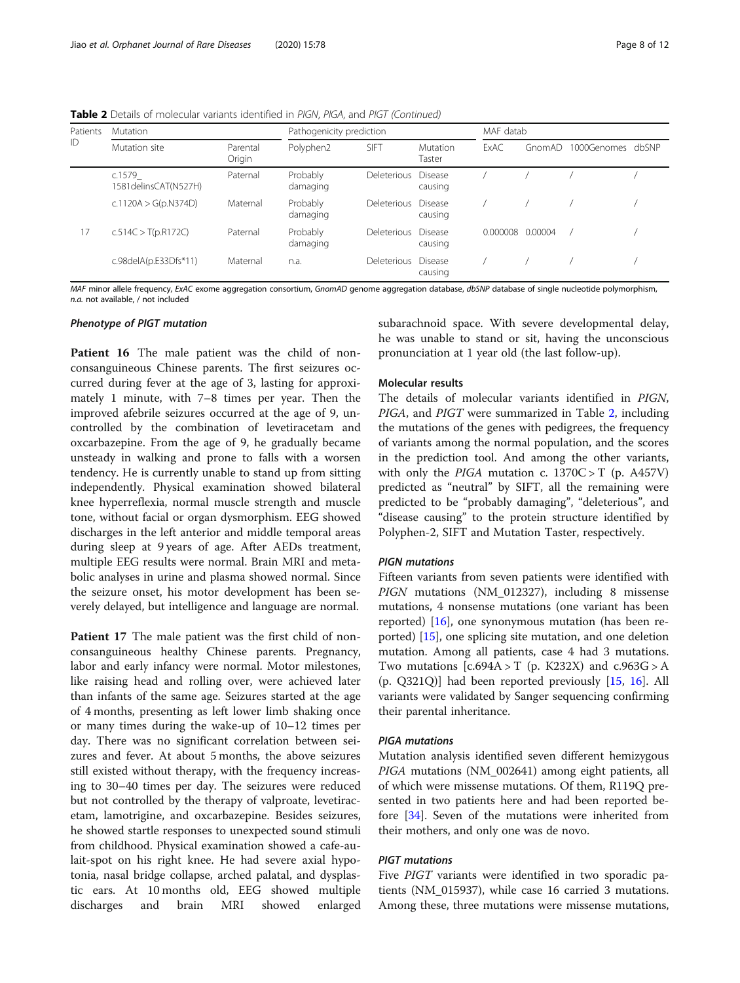Table 2 Details of molecular variants identified in PIGN, PIGA, and PIGT (Continued)

| Patients | <b>Mutation</b>                   | Pathogenicity prediction |                      |                    | MAF datab          |             |         |             |       |
|----------|-----------------------------------|--------------------------|----------------------|--------------------|--------------------|-------------|---------|-------------|-------|
| ID       | Mutation site                     | Parental<br>Origin       | Polyphen2            | <b>SIFT</b>        | Mutation<br>Taster | <b>FxAC</b> | GnomAD  | 1000Genomes | dbSNP |
|          | c.1579<br>1581 delins CAT (N527H) | Paternal                 | Probably<br>damaging | <b>Deleterious</b> | Disease<br>causing |             |         |             |       |
|          | c.1120A > $G(p.N374D)$            | Probably<br>damaging     | Deleterious          | Disease<br>causing |                    |             |         |             |       |
| 17       | c.514C > T(p.R172C)<br>Paternal   |                          | Probably<br>damaging | <b>Deleterious</b> | Disease<br>causing | 0.000008    | 0.00004 |             |       |
|          | c.98delA(p.E33Dfs*11)             | Maternal                 | n.a.                 | <b>Deleterious</b> | Disease<br>causing |             |         |             |       |

MAF minor allele frequency, ExAC exome aggregation consortium, GnomAD genome aggregation database, dbSNP database of single nucleotide polymorphism, n.a. not available, / not included

#### Phenotype of PIGT mutation

Patient 16 The male patient was the child of nonconsanguineous Chinese parents. The first seizures occurred during fever at the age of 3, lasting for approximately 1 minute, with 7–8 times per year. Then the improved afebrile seizures occurred at the age of 9, uncontrolled by the combination of levetiracetam and oxcarbazepine. From the age of 9, he gradually became unsteady in walking and prone to falls with a worsen tendency. He is currently unable to stand up from sitting independently. Physical examination showed bilateral knee hyperreflexia, normal muscle strength and muscle tone, without facial or organ dysmorphism. EEG showed discharges in the left anterior and middle temporal areas during sleep at 9 years of age. After AEDs treatment, multiple EEG results were normal. Brain MRI and metabolic analyses in urine and plasma showed normal. Since the seizure onset, his motor development has been severely delayed, but intelligence and language are normal.

Patient 17 The male patient was the first child of nonconsanguineous healthy Chinese parents. Pregnancy, labor and early infancy were normal. Motor milestones, like raising head and rolling over, were achieved later than infants of the same age. Seizures started at the age of 4 months, presenting as left lower limb shaking once or many times during the wake-up of 10–12 times per day. There was no significant correlation between seizures and fever. At about 5 months, the above seizures still existed without therapy, with the frequency increasing to 30–40 times per day. The seizures were reduced but not controlled by the therapy of valproate, levetiracetam, lamotrigine, and oxcarbazepine. Besides seizures, he showed startle responses to unexpected sound stimuli from childhood. Physical examination showed a cafe-aulait-spot on his right knee. He had severe axial hypotonia, nasal bridge collapse, arched palatal, and dysplastic ears. At 10 months old, EEG showed multiple discharges and brain MRI showed enlarged

subarachnoid space. With severe developmental delay, he was unable to stand or sit, having the unconscious pronunciation at 1 year old (the last follow-up).

#### Molecular results

The details of molecular variants identified in PIGN, PIGA, and PIGT were summarized in Table [2,](#page-6-0) including the mutations of the genes with pedigrees, the frequency of variants among the normal population, and the scores in the prediction tool. And among the other variants, with only the PIGA mutation c.  $1370C > T$  (p. A457V) predicted as "neutral" by SIFT, all the remaining were predicted to be "probably damaging", "deleterious", and "disease causing" to the protein structure identified by Polyphen-2, SIFT and Mutation Taster, respectively.

#### PIGN mutations

Fifteen variants from seven patients were identified with PIGN mutations (NM\_012327), including 8 missense mutations, 4 nonsense mutations (one variant has been reported) [[16\]](#page-11-0), one synonymous mutation (has been reported) [[15\]](#page-10-0), one splicing site mutation, and one deletion mutation. Among all patients, case 4 had 3 mutations. Two mutations  $[c.694A > T (p. K232X)$  and  $c.963G > A$ (p. Q321Q)] had been reported previously [[15,](#page-10-0) [16\]](#page-11-0). All variants were validated by Sanger sequencing confirming their parental inheritance.

#### PIGA mutations

Mutation analysis identified seven different hemizygous PIGA mutations (NM\_002641) among eight patients, all of which were missense mutations. Of them, R119Q presented in two patients here and had been reported before [[34\]](#page-11-0). Seven of the mutations were inherited from their mothers, and only one was de novo.

#### PIGT mutations

Five PIGT variants were identified in two sporadic patients (NM\_015937), while case 16 carried 3 mutations. Among these, three mutations were missense mutations,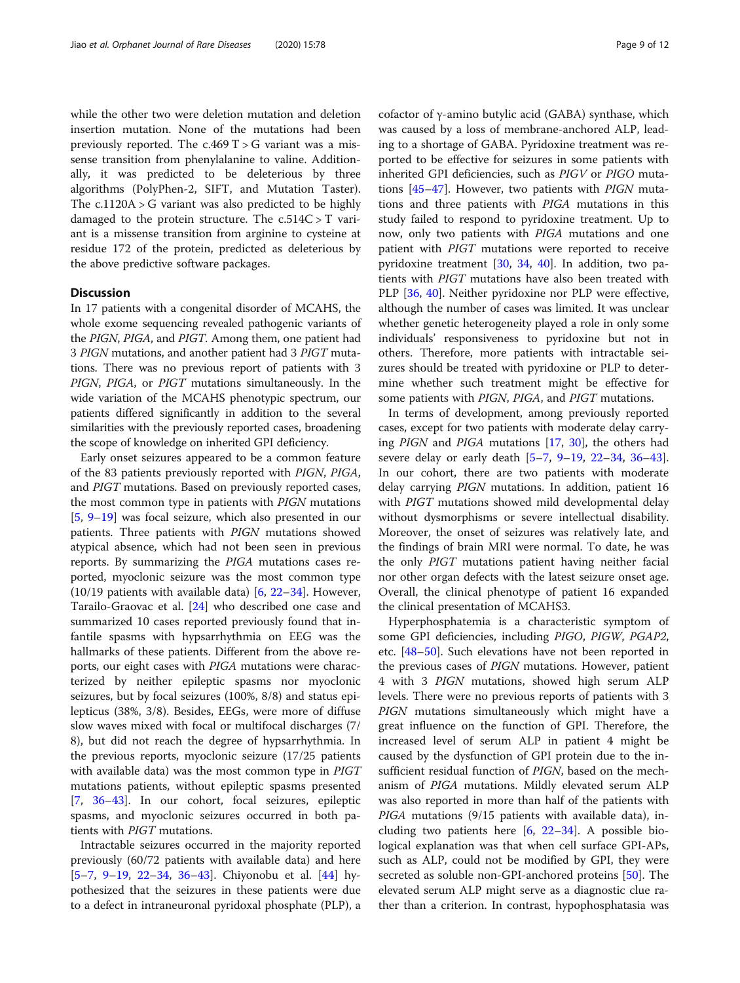while the other two were deletion mutation and deletion insertion mutation. None of the mutations had been previously reported. The  $c.469$  T  $>$  G variant was a missense transition from phenylalanine to valine. Additionally, it was predicted to be deleterious by three algorithms (PolyPhen-2, SIFT, and Mutation Taster). The c.1120A > G variant was also predicted to be highly damaged to the protein structure. The  $c.514C > T$  variant is a missense transition from arginine to cysteine at residue 172 of the protein, predicted as deleterious by the above predictive software packages.

#### **Discussion**

In 17 patients with a congenital disorder of MCAHS, the whole exome sequencing revealed pathogenic variants of the PIGN, PIGA, and PIGT. Among them, one patient had 3 PIGN mutations, and another patient had 3 PIGT mutations. There was no previous report of patients with 3 PIGN, PIGA, or PIGT mutations simultaneously. In the wide variation of the MCAHS phenotypic spectrum, our patients differed significantly in addition to the several similarities with the previously reported cases, broadening the scope of knowledge on inherited GPI deficiency.

Early onset seizures appeared to be a common feature of the 83 patients previously reported with PIGN, PIGA, and PIGT mutations. Based on previously reported cases, the most common type in patients with PIGN mutations [[5,](#page-10-0) [9](#page-10-0)–[19](#page-11-0)] was focal seizure, which also presented in our patients. Three patients with PIGN mutations showed atypical absence, which had not been seen in previous reports. By summarizing the PIGA mutations cases reported, myoclonic seizure was the most common type  $(10/19$  patients with available data) [[6](#page-10-0), [22](#page-11-0)–[34](#page-11-0)]. However, Tarailo-Graovac et al. [[24\]](#page-11-0) who described one case and summarized 10 cases reported previously found that infantile spasms with hypsarrhythmia on EEG was the hallmarks of these patients. Different from the above reports, our eight cases with PIGA mutations were characterized by neither epileptic spasms nor myoclonic seizures, but by focal seizures (100%, 8/8) and status epilepticus (38%, 3/8). Besides, EEGs, were more of diffuse slow waves mixed with focal or multifocal discharges (7/ 8), but did not reach the degree of hypsarrhythmia. In the previous reports, myoclonic seizure (17/25 patients with available data) was the most common type in *PIGT* mutations patients, without epileptic spasms presented [[7,](#page-10-0) [36](#page-11-0)–[43](#page-11-0)]. In our cohort, focal seizures, epileptic spasms, and myoclonic seizures occurred in both patients with PIGT mutations.

Intractable seizures occurred in the majority reported previously (60/72 patients with available data) and here [[5](#page-10-0)–[7,](#page-10-0) [9](#page-10-0)–[19](#page-11-0), [22](#page-11-0)–[34](#page-11-0), [36](#page-11-0)–[43\]](#page-11-0). Chiyonobu et al. [\[44](#page-11-0)] hypothesized that the seizures in these patients were due to a defect in intraneuronal pyridoxal phosphate (PLP), a

cofactor of γ-amino butylic acid (GABA) synthase, which was caused by a loss of membrane-anchored ALP, leading to a shortage of GABA. Pyridoxine treatment was reported to be effective for seizures in some patients with inherited GPI deficiencies, such as PIGV or PIGO mutations [[45](#page-11-0)–[47\]](#page-11-0). However, two patients with PIGN mutations and three patients with PIGA mutations in this study failed to respond to pyridoxine treatment. Up to now, only two patients with PIGA mutations and one patient with PIGT mutations were reported to receive pyridoxine treatment [\[30,](#page-11-0) [34](#page-11-0), [40\]](#page-11-0). In addition, two patients with PIGT mutations have also been treated with PLP [[36,](#page-11-0) [40\]](#page-11-0). Neither pyridoxine nor PLP were effective, although the number of cases was limited. It was unclear whether genetic heterogeneity played a role in only some individuals' responsiveness to pyridoxine but not in others. Therefore, more patients with intractable seizures should be treated with pyridoxine or PLP to determine whether such treatment might be effective for some patients with PIGN, PIGA, and PIGT mutations.

In terms of development, among previously reported cases, except for two patients with moderate delay carrying PIGN and PIGA mutations [\[17,](#page-11-0) [30\]](#page-11-0), the others had severe delay or early death [\[5](#page-10-0)–[7](#page-10-0), [9](#page-10-0)–[19](#page-11-0), [22](#page-11-0)–[34](#page-11-0), [36](#page-11-0)–[43](#page-11-0)]. In our cohort, there are two patients with moderate delay carrying PIGN mutations. In addition, patient 16 with PIGT mutations showed mild developmental delay without dysmorphisms or severe intellectual disability. Moreover, the onset of seizures was relatively late, and the findings of brain MRI were normal. To date, he was the only PIGT mutations patient having neither facial nor other organ defects with the latest seizure onset age. Overall, the clinical phenotype of patient 16 expanded the clinical presentation of MCAHS3.

Hyperphosphatemia is a characteristic symptom of some GPI deficiencies, including PIGO, PIGW, PGAP2, etc. [[48](#page-11-0)–[50](#page-11-0)]. Such elevations have not been reported in the previous cases of PIGN mutations. However, patient 4 with 3 PIGN mutations, showed high serum ALP levels. There were no previous reports of patients with 3 PIGN mutations simultaneously which might have a great influence on the function of GPI. Therefore, the increased level of serum ALP in patient 4 might be caused by the dysfunction of GPI protein due to the insufficient residual function of PIGN, based on the mechanism of PIGA mutations. Mildly elevated serum ALP was also reported in more than half of the patients with PIGA mutations (9/15 patients with available data), including two patients here  $[6, 22-34]$  $[6, 22-34]$  $[6, 22-34]$  $[6, 22-34]$  $[6, 22-34]$  $[6, 22-34]$ . A possible biological explanation was that when cell surface GPI-APs, such as ALP, could not be modified by GPI, they were secreted as soluble non-GPI-anchored proteins [\[50\]](#page-11-0). The elevated serum ALP might serve as a diagnostic clue rather than a criterion. In contrast, hypophosphatasia was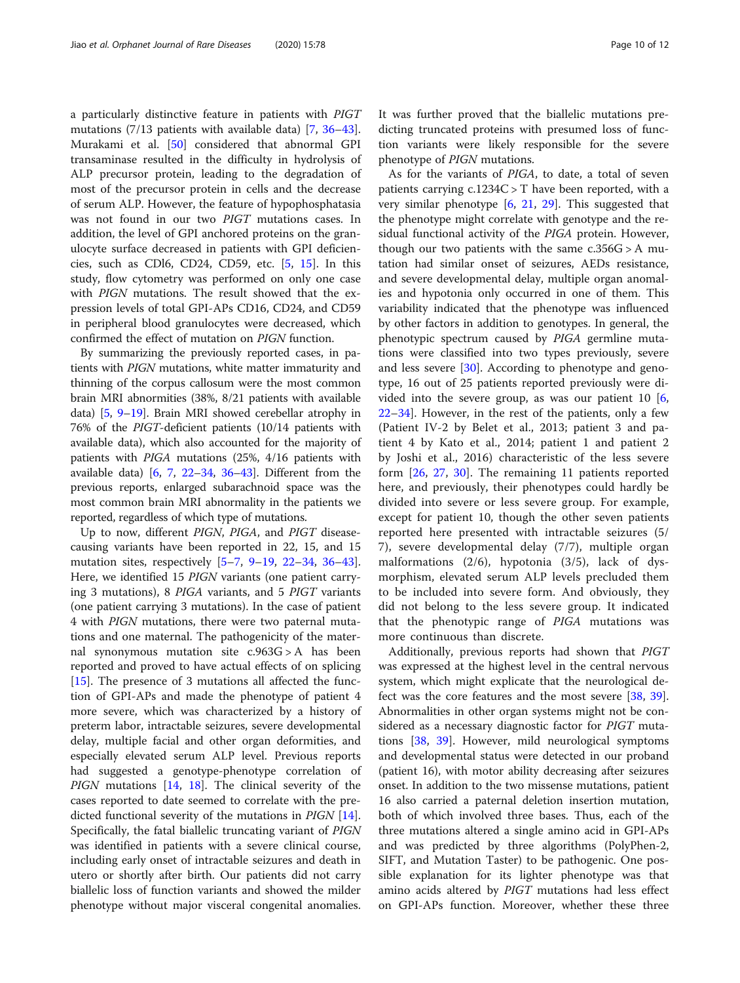a particularly distinctive feature in patients with PIGT mutations (7/13 patients with available data) [\[7,](#page-10-0) [36](#page-11-0)–[43](#page-11-0)]. Murakami et al. [[50](#page-11-0)] considered that abnormal GPI transaminase resulted in the difficulty in hydrolysis of ALP precursor protein, leading to the degradation of most of the precursor protein in cells and the decrease of serum ALP. However, the feature of hypophosphatasia was not found in our two PIGT mutations cases. In addition, the level of GPI anchored proteins on the granulocyte surface decreased in patients with GPI deficiencies, such as CDl6, CD24, CD59, etc. [\[5](#page-10-0), [15](#page-10-0)]. In this study, flow cytometry was performed on only one case with PIGN mutations. The result showed that the expression levels of total GPI-APs CD16, CD24, and CD59 in peripheral blood granulocytes were decreased, which confirmed the effect of mutation on PIGN function.

By summarizing the previously reported cases, in patients with PIGN mutations, white matter immaturity and thinning of the corpus callosum were the most common brain MRI abnormities (38%, 8/21 patients with available data) [[5](#page-10-0), [9](#page-10-0)–[19\]](#page-11-0). Brain MRI showed cerebellar atrophy in 76% of the PIGT-deficient patients (10/14 patients with available data), which also accounted for the majority of patients with PIGA mutations (25%, 4/16 patients with available data) [\[6](#page-10-0), [7,](#page-10-0) [22](#page-11-0)–[34](#page-11-0), [36](#page-11-0)–[43](#page-11-0)]. Different from the previous reports, enlarged subarachnoid space was the most common brain MRI abnormality in the patients we reported, regardless of which type of mutations.

Up to now, different PIGN, PIGA, and PIGT diseasecausing variants have been reported in 22, 15, and 15 mutation sites, respectively [[5](#page-10-0)–[7,](#page-10-0) [9](#page-10-0)–[19,](#page-11-0) [22](#page-11-0)–[34](#page-11-0), [36](#page-11-0)–[43](#page-11-0)]. Here, we identified 15 PIGN variants (one patient carrying 3 mutations), 8 PIGA variants, and 5 PIGT variants (one patient carrying 3 mutations). In the case of patient 4 with PIGN mutations, there were two paternal mutations and one maternal. The pathogenicity of the maternal synonymous mutation site c.963G > A has been reported and proved to have actual effects of on splicing [[15\]](#page-10-0). The presence of 3 mutations all affected the function of GPI-APs and made the phenotype of patient 4 more severe, which was characterized by a history of preterm labor, intractable seizures, severe developmental delay, multiple facial and other organ deformities, and especially elevated serum ALP level. Previous reports had suggested a genotype-phenotype correlation of PIGN mutations  $[14, 18]$  $[14, 18]$  $[14, 18]$  $[14, 18]$ . The clinical severity of the cases reported to date seemed to correlate with the predicted functional severity of the mutations in *PIGN* [\[14](#page-10-0)]. Specifically, the fatal biallelic truncating variant of PIGN was identified in patients with a severe clinical course, including early onset of intractable seizures and death in utero or shortly after birth. Our patients did not carry biallelic loss of function variants and showed the milder phenotype without major visceral congenital anomalies.

It was further proved that the biallelic mutations predicting truncated proteins with presumed loss of function variants were likely responsible for the severe phenotype of PIGN mutations.

As for the variants of PIGA, to date, a total of seven patients carrying  $c.1234C > T$  have been reported, with a very similar phenotype  $[6, 21, 29]$  $[6, 21, 29]$  $[6, 21, 29]$  $[6, 21, 29]$  $[6, 21, 29]$  $[6, 21, 29]$  $[6, 21, 29]$ . This suggested that the phenotype might correlate with genotype and the residual functional activity of the PIGA protein. However, though our two patients with the same  $c.356G > A$  mutation had similar onset of seizures, AEDs resistance, and severe developmental delay, multiple organ anomalies and hypotonia only occurred in one of them. This variability indicated that the phenotype was influenced by other factors in addition to genotypes. In general, the phenotypic spectrum caused by PIGA germline mutations were classified into two types previously, severe and less severe [[30](#page-11-0)]. According to phenotype and genotype, 16 out of 25 patients reported previously were divided into the severe group, as was our patient 10 [\[6](#page-10-0), [22](#page-11-0)–[34](#page-11-0)]. However, in the rest of the patients, only a few (Patient IV-2 by Belet et al., 2013; patient 3 and patient 4 by Kato et al., 2014; patient 1 and patient 2 by Joshi et al., 2016) characteristic of the less severe form [\[26](#page-11-0), [27,](#page-11-0) [30](#page-11-0)]. The remaining 11 patients reported here, and previously, their phenotypes could hardly be divided into severe or less severe group. For example, except for patient 10, though the other seven patients reported here presented with intractable seizures (5/ 7), severe developmental delay (7/7), multiple organ malformations (2/6), hypotonia (3/5), lack of dysmorphism, elevated serum ALP levels precluded them to be included into severe form. And obviously, they did not belong to the less severe group. It indicated that the phenotypic range of PIGA mutations was more continuous than discrete.

Additionally, previous reports had shown that PIGT was expressed at the highest level in the central nervous system, which might explicate that the neurological defect was the core features and the most severe [[38](#page-11-0), [39](#page-11-0)]. Abnormalities in other organ systems might not be considered as a necessary diagnostic factor for PIGT mutations [[38,](#page-11-0) [39](#page-11-0)]. However, mild neurological symptoms and developmental status were detected in our proband (patient 16), with motor ability decreasing after seizures onset. In addition to the two missense mutations, patient 16 also carried a paternal deletion insertion mutation, both of which involved three bases. Thus, each of the three mutations altered a single amino acid in GPI-APs and was predicted by three algorithms (PolyPhen-2, SIFT, and Mutation Taster) to be pathogenic. One possible explanation for its lighter phenotype was that amino acids altered by PIGT mutations had less effect on GPI-APs function. Moreover, whether these three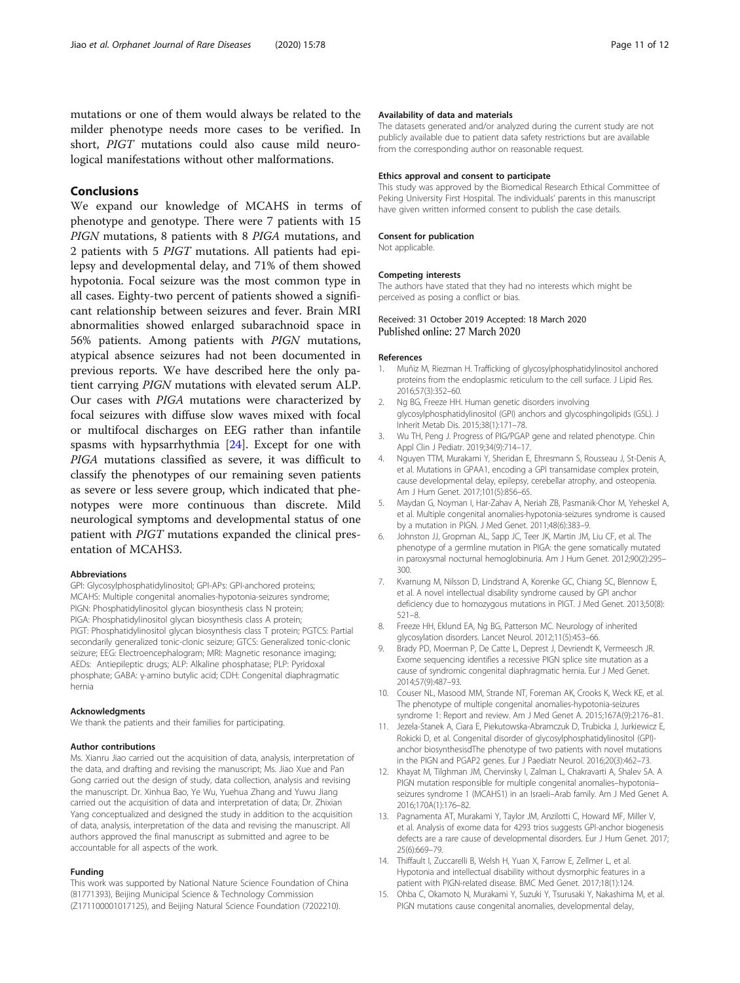<span id="page-10-0"></span>mutations or one of them would always be related to the milder phenotype needs more cases to be verified. In short, PIGT mutations could also cause mild neurological manifestations without other malformations.

#### Conclusions

We expand our knowledge of MCAHS in terms of phenotype and genotype. There were 7 patients with 15 PIGN mutations, 8 patients with 8 PIGA mutations, and 2 patients with 5 PIGT mutations. All patients had epilepsy and developmental delay, and 71% of them showed hypotonia. Focal seizure was the most common type in all cases. Eighty-two percent of patients showed a significant relationship between seizures and fever. Brain MRI abnormalities showed enlarged subarachnoid space in 56% patients. Among patients with PIGN mutations, atypical absence seizures had not been documented in previous reports. We have described here the only patient carrying PIGN mutations with elevated serum ALP. Our cases with PIGA mutations were characterized by focal seizures with diffuse slow waves mixed with focal or multifocal discharges on EEG rather than infantile spasms with hypsarrhythmia [[24\]](#page-11-0). Except for one with PIGA mutations classified as severe, it was difficult to classify the phenotypes of our remaining seven patients as severe or less severe group, which indicated that phenotypes were more continuous than discrete. Mild neurological symptoms and developmental status of one patient with PIGT mutations expanded the clinical presentation of MCAHS3.

#### Abbreviations

GPI: Glycosylphosphatidylinositol; GPI-APs: GPI-anchored proteins; MCAHS: Multiple congenital anomalies-hypotonia-seizures syndrome; PIGN: Phosphatidylinositol glycan biosynthesis class N protein; PIGA: Phosphatidylinositol glycan biosynthesis class A protein; PIGT: Phosphatidylinositol glycan biosynthesis class T protein; PGTCS: Partial secondarily generalized tonic-clonic seizure; GTCS: Generalized tonic-clonic seizure; EEG: Electroencephalogram; MRI: Magnetic resonance imaging; AEDs: Antiepileptic drugs; ALP: Alkaline phosphatase; PLP: Pyridoxal phosphate; GABA: γ-amino butylic acid; CDH: Congenital diaphragmatic hernia

#### Acknowledgments

We thank the patients and their families for participating.

#### Author contributions

Ms. Xianru Jiao carried out the acquisition of data, analysis, interpretation of the data, and drafting and revising the manuscript; Ms. Jiao Xue and Pan Gong carried out the design of study, data collection, analysis and revising the manuscript. Dr. Xinhua Bao, Ye Wu, Yuehua Zhang and Yuwu Jiang carried out the acquisition of data and interpretation of data; Dr. Zhixian Yang conceptualized and designed the study in addition to the acquisition of data, analysis, interpretation of the data and revising the manuscript. All authors approved the final manuscript as submitted and agree to be accountable for all aspects of the work.

#### Funding

This work was supported by National Nature Science Foundation of China (81771393), Beijing Municipal Science & Technology Commission (Z171100001017125), and Beijing Natural Science Foundation (7202210).

#### Availability of data and materials

The datasets generated and/or analyzed during the current study are not publicly available due to patient data safety restrictions but are available from the corresponding author on reasonable request.

#### Ethics approval and consent to participate

This study was approved by the Biomedical Research Ethical Committee of Peking University First Hospital. The individuals' parents in this manuscript have given written informed consent to publish the case details.

#### Consent for publication

Not applicable.

#### Competing interests

The authors have stated that they had no interests which might be perceived as posing a conflict or bias.

Received: 31 October 2019 Accepted: 18 March 2020 Published online: 27 March 2020

#### References

- 1. Muñiz M, Riezman H. Trafficking of glycosylphosphatidylinositol anchored proteins from the endoplasmic reticulum to the cell surface. J Lipid Res. 2016;57(3):352–60.
- 2. Ng BG, Freeze HH. Human genetic disorders involving glycosylphosphatidylinositol (GPI) anchors and glycosphingolipids (GSL). J Inherit Metab Dis. 2015;38(1):171–78.
- 3. Wu TH, Peng J. Progress of PIG/PGAP gene and related phenotype. Chin Appl Clin J Pediatr. 2019;34(9):714–17.
- 4. Nguyen TTM, Murakami Y, Sheridan E, Ehresmann S, Rousseau J, St-Denis A, et al. Mutations in GPAA1, encoding a GPI transamidase complex protein, cause developmental delay, epilepsy, cerebellar atrophy, and osteopenia. Am J Hum Genet. 2017;101(5):856–65.
- 5. Maydan G, Noyman I, Har-Zahav A, Neriah ZB, Pasmanik-Chor M, Yeheskel A, et al. Multiple congenital anomalies-hypotonia-seizures syndrome is caused by a mutation in PIGN. J Med Genet. 2011;48(6):383–9.
- 6. Johnston JJ, Gropman AL, Sapp JC, Teer JK, Martin JM, Liu CF, et al. The phenotype of a germline mutation in PIGA: the gene somatically mutated in paroxysmal nocturnal hemoglobinuria. Am J Hum Genet. 2012;90(2):295– 300.
- 7. Kvarnung M, Nilsson D, Lindstrand A, Korenke GC, Chiang SC, Blennow E, et al. A novel intellectual disability syndrome caused by GPI anchor deficiency due to homozygous mutations in PIGT. J Med Genet. 2013;50(8): 521–8.
- 8. Freeze HH, Eklund EA, Ng BG, Patterson MC. Neurology of inherited glycosylation disorders. Lancet Neurol. 2012;11(5):453–66.
- 9. Brady PD, Moerman P, De Catte L, Deprest J, Devriendt K, Vermeesch JR. Exome sequencing identifies a recessive PIGN splice site mutation as a cause of syndromic congenital diaphragmatic hernia. Eur J Med Genet. 2014;57(9):487–93.
- 10. Couser NL, Masood MM, Strande NT, Foreman AK, Crooks K, Weck KE, et al. The phenotype of multiple congenital anomalies-hypotonia-seizures syndrome 1: Report and review. Am J Med Genet A. 2015;167A(9):2176–81.
- 11. Jezela-Stanek A, Ciara E, Piekutowska-Abramczuk D, Trubicka J, Jurkiewicz E, Rokicki D, et al. Congenital disorder of glycosylphosphatidylinositol (GPI) anchor biosynthesisdThe phenotype of two patients with novel mutations in the PIGN and PGAP2 genes. Eur J Paediatr Neurol. 2016;20(3):462–73.
- 12. Khayat M, Tilghman JM, Chervinsky I, Zalman L, Chakravarti A, Shalev SA. A PIGN mutation responsible for multiple congenital anomalies–hypotonia– seizures syndrome 1 (MCAHS1) in an Israeli–Arab family. Am J Med Genet A. 2016;170A(1):176–82.
- 13. Pagnamenta AT, Murakami Y, Taylor JM, Anzilotti C, Howard MF, Miller V, et al. Analysis of exome data for 4293 trios suggests GPI-anchor biogenesis defects are a rare cause of developmental disorders. Eur J Hum Genet. 2017; 25(6):669–79.
- 14. Thiffault I, Zuccarelli B, Welsh H, Yuan X, Farrow E, Zellmer L, et al. Hypotonia and intellectual disability without dysmorphic features in a patient with PIGN-related disease. BMC Med Genet. 2017;18(1):124.
- 15. Ohba C, Okamoto N, Murakami Y, Suzuki Y, Tsurusaki Y, Nakashima M, et al. PIGN mutations cause congenital anomalies, developmental delay,